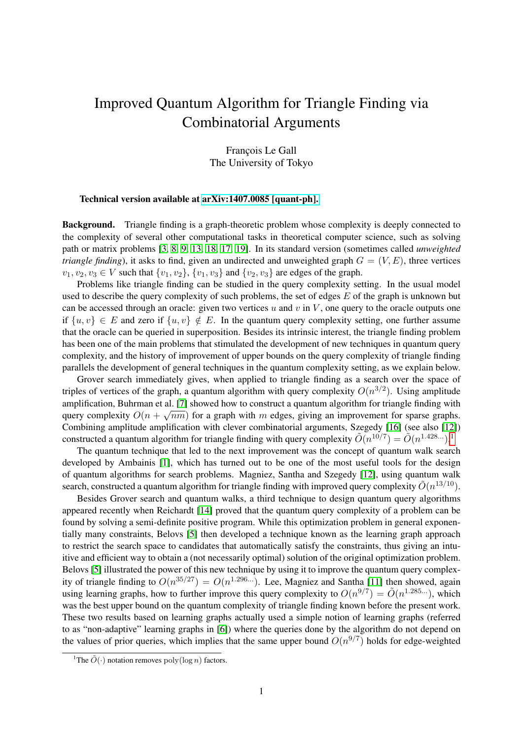## Improved Quantum Algorithm for Triangle Finding via Combinatorial Arguments

François Le Gall The University of Tokyo

## Technical version available at [arXiv:1407.0085 \[quant-ph\].](http://arxiv.org/abs/1407.0085)

Background. Triangle finding is a graph-theoretic problem whose complexity is deeply connected to the complexity of several other computational tasks in theoretical computer science, such as solving path or matrix problems [\[3,](#page-3-0) [8,](#page-3-1) [9,](#page-3-2) [13,](#page-3-3) [18,](#page-4-0) [17,](#page-4-1) [19\]](#page-4-2). In its standard version (sometimes called *unweighted triangle finding*), it asks to find, given an undirected and unweighted graph  $G = (V, E)$ , three vertices  $v_1, v_2, v_3 \in V$  such that  $\{v_1, v_2\}$ ,  $\{v_1, v_3\}$  and  $\{v_2, v_3\}$  are edges of the graph.

Problems like triangle finding can be studied in the query complexity setting. In the usual model used to describe the query complexity of such problems, the set of edges  $E$  of the graph is unknown but can be accessed through an oracle: given two vertices u and v in  $V$ , one query to the oracle outputs one if  $\{u, v\} \in E$  and zero if  $\{u, v\} \notin E$ . In the quantum query complexity setting, one further assume that the oracle can be queried in superposition. Besides its intrinsic interest, the triangle finding problem has been one of the main problems that stimulated the development of new techniques in quantum query complexity, and the history of improvement of upper bounds on the query complexity of triangle finding parallels the development of general techniques in the quantum complexity setting, as we explain below.

Grover search immediately gives, when applied to triangle finding as a search over the space of triples of vertices of the graph, a quantum algorithm with query complexity  $O(n^{3/2})$ . Using amplitude amplification, Buhrman et al. [\[7\]](#page-3-4) showed how to construct a quantum algorithm for triangle finding with query complexity  $O(n + \sqrt{nm})$  for a graph with m edges, giving an improvement for sparse graphs. Combining amplitude amplification with clever combinatorial arguments, Szegedy [\[16\]](#page-3-5) (see also [\[12\]](#page-3-6)) constructed a quantum algorithm for triangle finding with query complexity  $\tilde{O}(n^{10/7}) = \tilde{O}(n^{1.428...})$  $\tilde{O}(n^{10/7}) = \tilde{O}(n^{1.428...})$  $\tilde{O}(n^{10/7}) = \tilde{O}(n^{1.428...})$ .<sup>1</sup>

The quantum technique that led to the next improvement was the concept of quantum walk search developed by Ambainis [\[1\]](#page-3-7), which has turned out to be one of the most useful tools for the design of quantum algorithms for search problems. Magniez, Santha and Szegedy [\[12\]](#page-3-6), using quantum walk search, constructed a quantum algorithm for triangle finding with improved query complexity  $\tilde{O}(n^{13/10})$ .

Besides Grover search and quantum walks, a third technique to design quantum query algorithms appeared recently when Reichardt [\[14\]](#page-3-8) proved that the quantum query complexity of a problem can be found by solving a semi-definite positive program. While this optimization problem in general exponentially many constraints, Belovs [\[5\]](#page-3-9) then developed a technique known as the learning graph approach to restrict the search space to candidates that automatically satisfy the constraints, thus giving an intuitive and efficient way to obtain a (not necessarily optimal) solution of the original optimization problem. Belovs [\[5\]](#page-3-9) illustrated the power of this new technique by using it to improve the quantum query complexity of triangle finding to  $O(n^{35/27}) = O(n^{1.296...})$ . Lee, Magniez and Santha [\[11\]](#page-3-10) then showed, again using learning graphs, how to further improve this query complexity to  $O(n^{9/7}) = \tilde{O}(n^{1.285...})$ , which was the best upper bound on the quantum complexity of triangle finding known before the present work. These two results based on learning graphs actually used a simple notion of learning graphs (referred to as "non-adaptive" learning graphs in [\[6\]](#page-3-11)) where the queries done by the algorithm do not depend on the values of prior queries, which implies that the same upper bound  $O(n^{9/7})$  holds for edge-weighted

<span id="page-0-0"></span><sup>&</sup>lt;sup>1</sup>The  $\tilde{O}(\cdot)$  notation removes poly(log *n*) factors.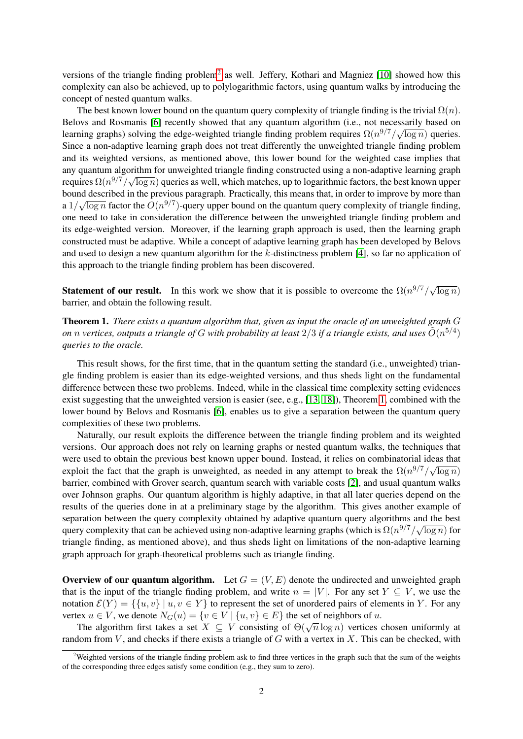versions of the triangle finding problem<sup>[2](#page-1-0)</sup> as well. Jeffery, Kothari and Magniez [\[10\]](#page-3-12) showed how this complexity can also be achieved, up to polylogarithmic factors, using quantum walks by introducing the concept of nested quantum walks.

The best known lower bound on the quantum query complexity of triangle finding is the trivial  $\Omega(n)$ . Belovs and Rosmanis [\[6\]](#page-3-11) recently showed that any quantum algorithm (i.e., not necessarily based on Learning graphs) solving the edge-weighted triangle finding problem requires  $\Omega(n^{9/7})/\sqrt{n}$  $log n)$  queries. Since a non-adaptive learning graph does not treat differently the unweighted triangle finding problem and its weighted versions, as mentioned above, this lower bound for the weighted case implies that any quantum algorithm for unweighted triangle finding constructed using a non-adaptive learning graph requires  $\Omega(n^{9/7}/\sqrt{\log n})$  queries as well, which matches, up to logarithmic factors, the best known upper bound described in the previous paragraph. Practically, this means that, in order to improve by more than  $\frac{1}{2}$ a  $1/\sqrt{\log n}$  factor the  $O(n^{9/7})$ -query upper bound on the quantum query complexity of triangle finding, one need to take in consideration the difference between the unweighted triangle finding problem and its edge-weighted version. Moreover, if the learning graph approach is used, then the learning graph constructed must be adaptive. While a concept of adaptive learning graph has been developed by Belovs and used to design a new quantum algorithm for the  $k$ -distinctness problem [\[4\]](#page-3-13), so far no application of this approach to the triangle finding problem has been discovered.

**Statement of our result.** In this work we show that it is possible to overcome the  $\Omega(n^{9/7})\sqrt{ }$  $\overline{\log n})$ barrier, and obtain the following result.

<span id="page-1-1"></span>Theorem 1. *There exists a quantum algorithm that, given as input the oracle of an unweighted graph* G *on n vertices, outputs a triangle of G with probability at least*  $2/3$  *if a triangle exists, and uses*  $\tilde{O}(n^{5/4})$ *queries to the oracle.*

This result shows, for the first time, that in the quantum setting the standard (i.e., unweighted) triangle finding problem is easier than its edge-weighted versions, and thus sheds light on the fundamental difference between these two problems. Indeed, while in the classical time complexity setting evidences exist suggesting that the unweighted version is easier (see, e.g.,  $[13, 18]$  $[13, 18]$ ), Theorem [1,](#page-1-1) combined with the lower bound by Belovs and Rosmanis [\[6\]](#page-3-11), enables us to give a separation between the quantum query complexities of these two problems.

Naturally, our result exploits the difference between the triangle finding problem and its weighted versions. Our approach does not rely on learning graphs or nested quantum walks, the techniques that were used to obtain the previous best known upper bound. Instead, it relies on combinatorial ideas that exploit the fact that the graph is unweighted, as needed in any attempt to break the  $\Omega(n^{9/7}/\sqrt{\log n})$ barrier, combined with Grover search, quantum search with variable costs [\[2\]](#page-3-14), and usual quantum walks over Johnson graphs. Our quantum algorithm is highly adaptive, in that all later queries depend on the results of the queries done in at a preliminary stage by the algorithm. This gives another example of separation between the query complexity obtained by adaptive quantum query algorithms and the best query complexity that can be achieved using non-adaptive learning graphs (which is  $\Omega(n^{9/7}/\sqrt{\log n})$  for triangle finding, as mentioned above), and thus sheds light on limitations of the non-adaptive learning graph approach for graph-theoretical problems such as triangle finding.

**Overview of our quantum algorithm.** Let  $G = (V, E)$  denote the undirected and unweighted graph that is the input of the triangle finding problem, and write  $n = |V|$ . For any set  $Y \subseteq V$ , we use the notation  $\mathcal{E}(Y) = \{ \{u, v\} \mid u, v \in Y \}$  to represent the set of unordered pairs of elements in Y. For any vertex  $u \in V$ , we denote  $N_G(u) = \{v \in V \mid \{u, v\} \in E\}$  the set of neighbors of u.

The algorithm first takes a set  $X \subseteq V$  consisting of  $\Theta(\sqrt{n} \log n)$  vertices chosen uniformly at random from  $V$ , and checks if there exists a triangle of  $G$  with a vertex in  $X$ . This can be checked, with

<span id="page-1-0"></span> $2$ Weighted versions of the triangle finding problem ask to find three vertices in the graph such that the sum of the weights of the corresponding three edges satisfy some condition (e.g., they sum to zero).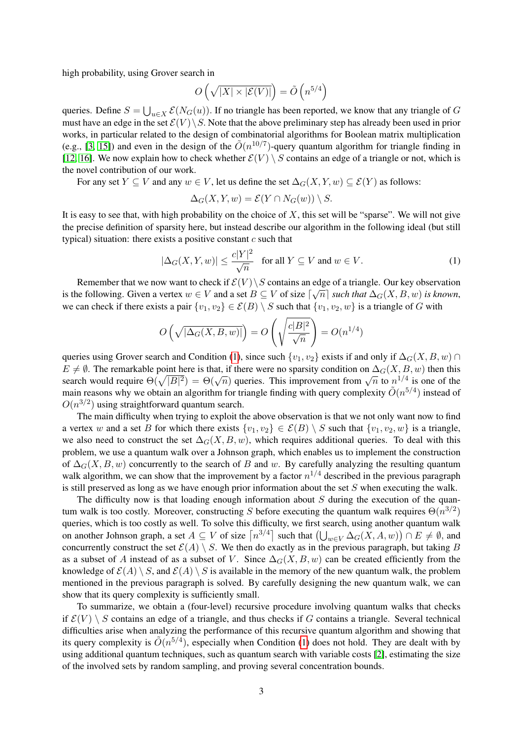high probability, using Grover search in

$$
O\left(\sqrt{|X|\times |\mathcal{E}(V)|}\right)=\tilde O\left(n^{5/4}\right)
$$

queries. Define  $S = \bigcup_{u \in X} \mathcal{E}(N_G(u))$ . If no triangle has been reported, we know that any triangle of G must have an edge in the set  $\mathcal{E}(V) \backslash S$ . Note that the above preliminary step has already been used in prior works, in particular related to the design of combinatorial algorithms for Boolean matrix multiplication (e.g., [\[3,](#page-3-0) [15\]](#page-3-15)) and even in the design of the  $\tilde{O}(n^{10/7})$ -query quantum algorithm for triangle finding in [\[12,](#page-3-6) [16\]](#page-3-5). We now explain how to check whether  $\mathcal{E}(V) \setminus S$  contains an edge of a triangle or not, which is the novel contribution of our work.

For any set  $Y \subseteq V$  and any  $w \in V$ , let us define the set  $\Delta_G(X, Y, w) \subseteq \mathcal{E}(Y)$  as follows:

$$
\Delta_G(X, Y, w) = \mathcal{E}(Y \cap N_G(w)) \setminus S.
$$

It is easy to see that, with high probability on the choice of  $X$ , this set will be "sparse". We will not give the precise definition of sparsity here, but instead describe our algorithm in the following ideal (but still typical) situation: there exists a positive constant  $c$  such that

<span id="page-2-0"></span>
$$
|\Delta_G(X, Y, w)| \le \frac{c|Y|^2}{\sqrt{n}} \quad \text{for all } Y \subseteq V \text{ and } w \in V. \tag{1}
$$

Remember that we now want to check if  $\mathcal{E}(V) \setminus S$  contains an edge of a triangle. Our key observation is the following. Given a vertex  $w \in V$  and a set  $B \subseteq V$  of size  $\lceil \sqrt{n} \rceil$  such that  $\Delta_G(X, B, w)$  is known, we can check if there exists a pair  $\{v_1, v_2\} \in \mathcal{E}(B) \setminus S$  such that  $\{v_1, v_2, w\}$  is a triangle of G with

$$
O\left(\sqrt{|\Delta_G(X,B,w)|}\right) = O\left(\sqrt{\frac{c|B|^2}{\sqrt{n}}}\right) = O(n^{1/4})
$$

queries using Grover search and Condition [\(1\)](#page-2-0), since such  $\{v_1, v_2\}$  exists if and only if  $\Delta_G(X, B, w) \cap$  $E \neq \emptyset$ . The remarkable point here is that, if there were no sparsity condition on  $\Delta_G(X, B, w)$  then this  $\Delta B \neq \emptyset$ . The remarkable point here is that, if there were no sparsity condition on  $\Delta G(\Lambda, D, w)$  then this search would require  $\Theta(\sqrt{|B|^2}) = \Theta(\sqrt{n})$  queries. This improvement from  $\sqrt{n}$  to  $n^{1/4}$  is one of the main reasons why we obtain an algorithm for triangle finding with query complexity  $\tilde{O}(n^{5/4})$  instead of  $O(n^{3/2})$  using straightforward quantum search.

The main difficulty when trying to exploit the above observation is that we not only want now to find a vertex w and a set B for which there exists  $\{v_1, v_2\} \in \mathcal{E}(B) \setminus S$  such that  $\{v_1, v_2, w\}$  is a triangle, we also need to construct the set  $\Delta_G(X, B, w)$ , which requires additional queries. To deal with this problem, we use a quantum walk over a Johnson graph, which enables us to implement the construction of  $\Delta_G(X, B, w)$  concurrently to the search of B and w. By carefully analyzing the resulting quantum walk algorithm, we can show that the improvement by a factor  $n^{1/4}$  described in the previous paragraph is still preserved as long as we have enough prior information about the set  $S$  when executing the walk.

The difficulty now is that loading enough information about  $S$  during the execution of the quantum walk is too costly. Moreover, constructing S before executing the quantum walk requires  $\Theta(n^{3/2})$ queries, which is too costly as well. To solve this difficulty, we first search, using another quantum walk on another Johnson graph, a set  $A \subseteq V$  of size  $\lceil n^{3/4} \rceil$  such that  $\left(\bigcup_{w \in V} \Delta_G(X, A, w)\right) \cap E \neq \emptyset$ , and concurrently construct the set  $\mathcal{E}(A) \setminus S$ . We then do exactly as in the previous paragraph, but taking B as a subset of A instead of as a subset of V. Since  $\Delta_G(X, B, w)$  can be created efficiently from the knowledge of  $\mathcal{E}(A) \setminus S$ , and  $\mathcal{E}(A) \setminus S$  is available in the memory of the new quantum walk, the problem mentioned in the previous paragraph is solved. By carefully designing the new quantum walk, we can show that its query complexity is sufficiently small.

To summarize, we obtain a (four-level) recursive procedure involving quantum walks that checks if  $\mathcal{E}(V) \setminus S$  contains an edge of a triangle, and thus checks if G contains a triangle. Several technical difficulties arise when analyzing the performance of this recursive quantum algorithm and showing that its query complexity is  $\tilde{O}(n^{5/4})$ , especially when Condition [\(1\)](#page-2-0) does not hold. They are dealt with by using additional quantum techniques, such as quantum search with variable costs [\[2\]](#page-3-14), estimating the size of the involved sets by random sampling, and proving several concentration bounds.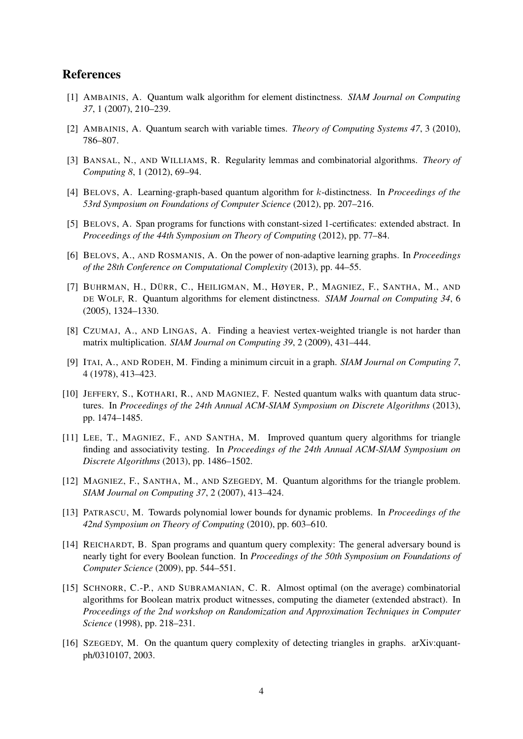## References

- <span id="page-3-7"></span>[1] AMBAINIS, A. Quantum walk algorithm for element distinctness. *SIAM Journal on Computing 37*, 1 (2007), 210–239.
- <span id="page-3-14"></span>[2] AMBAINIS, A. Quantum search with variable times. *Theory of Computing Systems 47*, 3 (2010), 786–807.
- <span id="page-3-0"></span>[3] BANSAL, N., AND WILLIAMS, R. Regularity lemmas and combinatorial algorithms. *Theory of Computing 8*, 1 (2012), 69–94.
- <span id="page-3-13"></span>[4] BELOVS, A. Learning-graph-based quantum algorithm for k-distinctness. In *Proceedings of the 53rd Symposium on Foundations of Computer Science* (2012), pp. 207–216.
- <span id="page-3-9"></span>[5] BELOVS, A. Span programs for functions with constant-sized 1-certificates: extended abstract. In *Proceedings of the 44th Symposium on Theory of Computing* (2012), pp. 77–84.
- <span id="page-3-11"></span>[6] BELOVS, A., AND ROSMANIS, A. On the power of non-adaptive learning graphs. In *Proceedings of the 28th Conference on Computational Complexity* (2013), pp. 44–55.
- <span id="page-3-4"></span>[7] BUHRMAN, H., DÜRR, C., HEILIGMAN, M., HØYER, P., MAGNIEZ, F., SANTHA, M., AND DE WOLF, R. Quantum algorithms for element distinctness. *SIAM Journal on Computing 34*, 6 (2005), 1324–1330.
- <span id="page-3-1"></span>[8] CZUMAJ, A., AND LINGAS, A. Finding a heaviest vertex-weighted triangle is not harder than matrix multiplication. *SIAM Journal on Computing 39*, 2 (2009), 431–444.
- <span id="page-3-2"></span>[9] ITAI, A., AND RODEH, M. Finding a minimum circuit in a graph. *SIAM Journal on Computing 7*, 4 (1978), 413–423.
- <span id="page-3-12"></span>[10] JEFFERY, S., KOTHARI, R., AND MAGNIEZ, F. Nested quantum walks with quantum data structures. In *Proceedings of the 24th Annual ACM-SIAM Symposium on Discrete Algorithms* (2013), pp. 1474–1485.
- <span id="page-3-10"></span>[11] LEE, T., MAGNIEZ, F., AND SANTHA, M. Improved quantum query algorithms for triangle finding and associativity testing. In *Proceedings of the 24th Annual ACM-SIAM Symposium on Discrete Algorithms* (2013), pp. 1486–1502.
- <span id="page-3-6"></span>[12] MAGNIEZ, F., SANTHA, M., AND SZEGEDY, M. Quantum algorithms for the triangle problem. *SIAM Journal on Computing 37*, 2 (2007), 413–424.
- <span id="page-3-3"></span>[13] PATRASCU, M. Towards polynomial lower bounds for dynamic problems. In *Proceedings of the 42nd Symposium on Theory of Computing* (2010), pp. 603–610.
- <span id="page-3-8"></span>[14] REICHARDT, B. Span programs and quantum query complexity: The general adversary bound is nearly tight for every Boolean function. In *Proceedings of the 50th Symposium on Foundations of Computer Science* (2009), pp. 544–551.
- <span id="page-3-15"></span>[15] SCHNORR, C.-P., AND SUBRAMANIAN, C. R. Almost optimal (on the average) combinatorial algorithms for Boolean matrix product witnesses, computing the diameter (extended abstract). In *Proceedings of the 2nd workshop on Randomization and Approximation Techniques in Computer Science* (1998), pp. 218–231.
- <span id="page-3-5"></span>[16] SZEGEDY, M. On the quantum query complexity of detecting triangles in graphs. arXiv:quantph/0310107, 2003.